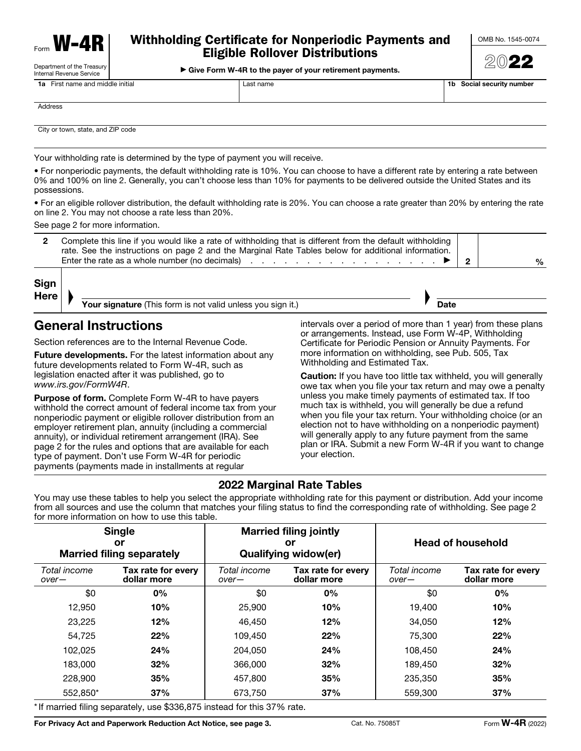| Form | W<br>8<br>. . |
|------|---------------|
|      |               |

Department of the Treasury

## Withholding Certificate for Nonperiodic Payments and Eligible Rollover Distributions

**Internal Revenue Service West Works And Service And Service And Service And Service West And Service And Service** 

| First name and middle initial<br>1а |         | Last name | 1b. | Social security number |
|-------------------------------------|---------|-----------|-----|------------------------|
|                                     |         |           |     |                        |
|                                     | Address |           |     |                        |

City or town, state, and ZIP code

Your withholding rate is determined by the type of payment you will receive.

• For nonperiodic payments, the default withholding rate is 10%. You can choose to have a different rate by entering a rate between 0% and 100% on line 2. Generally, you can't choose less than 10% for payments to be delivered outside the United States and its possessions.

• For an eligible rollover distribution, the default withholding rate is 20%. You can choose a rate greater than 20% by entering the rate on line 2. You may not choose a rate less than 20%.

See page 2 for more information.

| 2 Complete this line if you would like a rate of withholding that is different from the default withholding<br>rate. See the instructions on page 2 and the Marginal Rate Tables below for additional information. |  |   |
|--------------------------------------------------------------------------------------------------------------------------------------------------------------------------------------------------------------------|--|---|
| Enter the rate as a whole number (no decimals) $\ldots$ , $\ldots$ , $\ldots$ , $\ldots$ , $\ldots$ , $\blacktriangleright$                                                                                        |  | % |

| Sign |  |
|------|--|
| Here |  |

Your signature (This form is not valid unless you sign it.)

## General Instructions

Section references are to the Internal Revenue Code.

Future developments. For the latest information about any future developments related to Form W-4R, such as legislation enacted after it was published, go to *www.irs.gov/FormW4R*.

**Purpose of form.** Complete Form W-4R to have payers withhold the correct amount of federal income tax from your nonperiodic payment or eligible rollover distribution from an employer retirement plan, annuity (including a commercial annuity), or individual retirement arrangement (IRA). See page 2 for the rules and options that are available for each type of payment. Don't use Form W-4R for periodic payments (payments made in installments at regular

intervals over a period of more than 1 year) from these plans or arrangements. Instead, use Form W-4P, Withholding Certificate for Periodic Pension or Annuity Payments. For more information on withholding, see Pub. 505, Tax Withholding and Estimated Tax.

▲

Date

Caution: If you have too little tax withheld, you will generally owe tax when you file your tax return and may owe a penalty unless you make timely payments of estimated tax. If too much tax is withheld, you will generally be due a refund when you file your tax return. Your withholding choice (or an election not to have withholding on a nonperiodic payment) will generally apply to any future payment from the same plan or IRA. Submit a new Form W-4R if you want to change your election.

### 2022 Marginal Rate Tables

You may use these tables to help you select the appropriate withholding rate for this payment or distribution. Add your income from all sources and use the column that matches your filing status to find the corresponding rate of withholding. See page 2 for more information on how to use this table.

| <b>Single</b><br>or<br><b>Married filing separately</b> |                                   | <b>Married filing jointly</b><br>or<br><b>Qualifying widow(er)</b> |                                   | <b>Head of household</b> |                                   |  |
|---------------------------------------------------------|-----------------------------------|--------------------------------------------------------------------|-----------------------------------|--------------------------|-----------------------------------|--|
| Total income<br>$over-$                                 | Tax rate for every<br>dollar more | Total income<br>$over-$                                            | Tax rate for every<br>dollar more | Total income<br>$over-$  | Tax rate for every<br>dollar more |  |
| \$0                                                     | 0%                                | \$0                                                                | 0%                                | \$0                      | $0\%$                             |  |
| 12,950                                                  | 10%                               | 25,900                                                             | 10%                               | 19.400                   | 10%                               |  |
| 23,225                                                  | 12%                               | 46.450                                                             | 12%                               | 34,050                   | 12%                               |  |
| 54.725                                                  | 22%                               | 109.450                                                            | 22%                               | 75.300                   | 22%                               |  |
| 102.025                                                 | 24%                               | 204.050                                                            | 24%                               | 108.450                  | 24%                               |  |
| 183,000                                                 | 32%                               | 366,000                                                            | 32%                               | 189.450                  | 32%                               |  |
| 228,900                                                 | 35%                               | 457,800                                                            | 35%                               | 235,350                  | 35%                               |  |
| 552.850*                                                | 37%                               | 673.750                                                            | 37%                               | 559,300                  | 37%                               |  |

If married filing separately, use \$336,875 instead for this 37% rate.

For Privacy Act and Paperwork Reduction Act Notice, see page 3. Cat. No. 75085T Form W-4R (2022)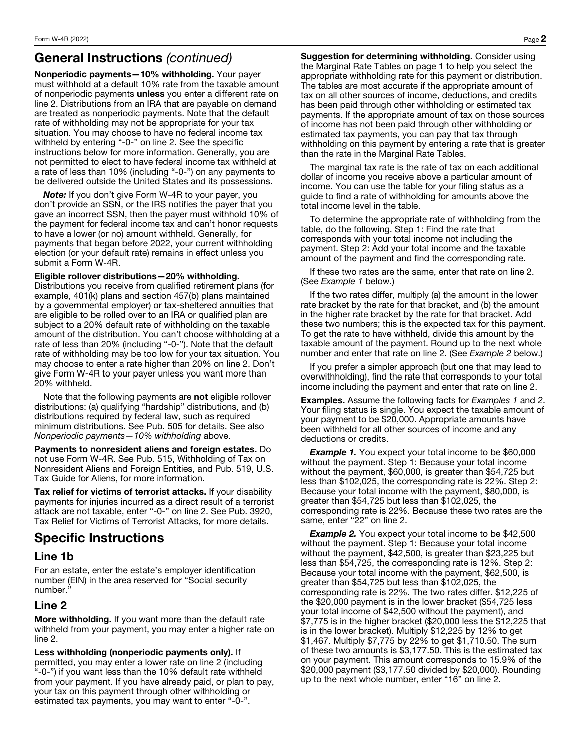## General Instructions *(continued)*

Nonperiodic payments—10% withholding. Your payer must withhold at a default 10% rate from the taxable amount of nonperiodic payments unless you enter a different rate on line 2. Distributions from an IRA that are payable on demand are treated as nonperiodic payments. Note that the default rate of withholding may not be appropriate for your tax situation. You may choose to have no federal income tax withheld by entering "-0-" on line 2. See the specific instructions below for more information. Generally, you are not permitted to elect to have federal income tax withheld at a rate of less than 10% (including "-0-") on any payments to be delivered outside the United States and its possessions.

*Note:* If you don't give Form W-4R to your payer, you don't provide an SSN, or the IRS notifies the payer that you gave an incorrect SSN, then the payer must withhold 10% of the payment for federal income tax and can't honor requests to have a lower (or no) amount withheld. Generally, for payments that began before 2022, your current withholding election (or your default rate) remains in effect unless you submit a Form W-4R.

#### Eligible rollover distributions—20% withholding.

Distributions you receive from qualified retirement plans (for example, 401(k) plans and section 457(b) plans maintained by a governmental employer) or tax-sheltered annuities that are eligible to be rolled over to an IRA or qualified plan are subject to a 20% default rate of withholding on the taxable amount of the distribution. You can't choose withholding at a rate of less than 20% (including "-0-"). Note that the default rate of withholding may be too low for your tax situation. You may choose to enter a rate higher than 20% on line 2. Don't give Form W-4R to your payer unless you want more than 20% withheld.

Note that the following payments are not eligible rollover distributions: (a) qualifying "hardship" distributions, and (b) distributions required by federal law, such as required minimum distributions. See Pub. 505 for details. See also *Nonperiodic payments—10% withholding* above.

Payments to nonresident aliens and foreign estates. Do not use Form W-4R. See Pub. 515, Withholding of Tax on Nonresident Aliens and Foreign Entities, and Pub. 519, U.S. Tax Guide for Aliens, for more information.

Tax relief for victims of terrorist attacks. If your disability payments for injuries incurred as a direct result of a terrorist attack are not taxable, enter "-0-" on line 2. See Pub. 3920, Tax Relief for Victims of Terrorist Attacks, for more details.

# Specific Instructions

### Line 1b

For an estate, enter the estate's employer identification number (EIN) in the area reserved for "Social security number."

### Line 2

More withholding. If you want more than the default rate withheld from your payment, you may enter a higher rate on line 2.

Less withholding (nonperiodic payments only). If permitted, you may enter a lower rate on line 2 (including "-0-") if you want less than the 10% default rate withheld from your payment. If you have already paid, or plan to pay, your tax on this payment through other withholding or estimated tax payments, you may want to enter "-0-".

Suggestion for determining withholding. Consider using the Marginal Rate Tables on page 1 to help you select the appropriate withholding rate for this payment or distribution. The tables are most accurate if the appropriate amount of tax on all other sources of income, deductions, and credits has been paid through other withholding or estimated tax payments. If the appropriate amount of tax on those sources of income has not been paid through other withholding or estimated tax payments, you can pay that tax through withholding on this payment by entering a rate that is greater than the rate in the Marginal Rate Tables.

The marginal tax rate is the rate of tax on each additional dollar of income you receive above a particular amount of income. You can use the table for your filing status as a guide to find a rate of withholding for amounts above the total income level in the table.

To determine the appropriate rate of withholding from the table, do the following. Step 1: Find the rate that corresponds with your total income not including the payment. Step 2: Add your total income and the taxable amount of the payment and find the corresponding rate.

If these two rates are the same, enter that rate on line 2. (See *Example 1* below.)

If the two rates differ, multiply (a) the amount in the lower rate bracket by the rate for that bracket, and (b) the amount in the higher rate bracket by the rate for that bracket. Add these two numbers; this is the expected tax for this payment. To get the rate to have withheld, divide this amount by the taxable amount of the payment. Round up to the next whole number and enter that rate on line 2. (See *Example 2* below.)

If you prefer a simpler approach (but one that may lead to overwithholding), find the rate that corresponds to your total income including the payment and enter that rate on line 2.

Examples. Assume the following facts for *Examples 1* and *2*. Your filing status is single. You expect the taxable amount of your payment to be \$20,000. Appropriate amounts have been withheld for all other sources of income and any deductions or credits.

**Example 1.** You expect your total income to be \$60,000 without the payment. Step 1: Because your total income without the payment, \$60,000, is greater than \$54,725 but less than \$102,025, the corresponding rate is 22%. Step 2: Because your total income with the payment, \$80,000, is greater than \$54,725 but less than \$102,025, the corresponding rate is 22%. Because these two rates are the same, enter "22" on line 2.

**Example 2.** You expect your total income to be \$42,500 without the payment. Step 1: Because your total income without the payment, \$42,500, is greater than \$23,225 but less than \$54,725, the corresponding rate is 12%. Step 2: Because your total income with the payment, \$62,500, is greater than \$54,725 but less than \$102,025, the corresponding rate is 22%. The two rates differ. \$12,225 of the \$20,000 payment is in the lower bracket (\$54,725 less your total income of \$42,500 without the payment), and \$7,775 is in the higher bracket (\$20,000 less the \$12,225 that is in the lower bracket). Multiply \$12,225 by 12% to get \$1,467. Multiply \$7,775 by 22% to get \$1,710.50. The sum of these two amounts is \$3,177.50. This is the estimated tax on your payment. This amount corresponds to 15.9% of the \$20,000 payment (\$3,177.50 divided by \$20,000). Rounding up to the next whole number, enter "16" on line 2.